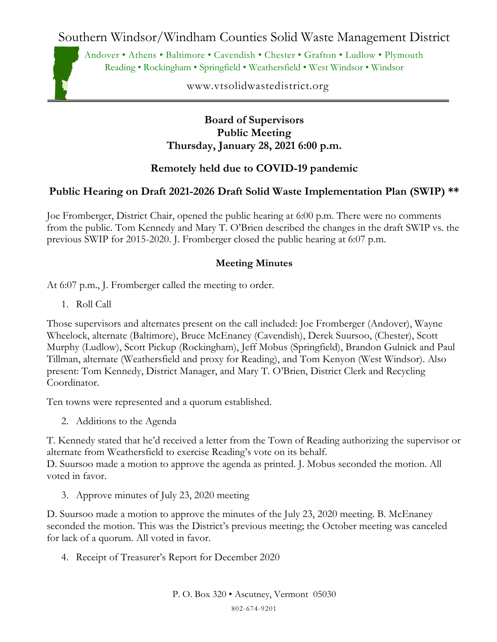Southern Windsor/Windham Counties Solid Waste Management District

Andover • Athens • Baltimore • Cavendish • Chester • Grafton • Ludlow • Plymouth Reading • Rockingham • Springfield • Weathersfield • West Windsor • Windsor

www.vtsolidwastedistrict.org

### **Board of Supervisors Public Meeting Thursday, January 28, 2021 6:00 p.m.**

# **Remotely held due to COVID-19 pandemic**

## **Public Hearing on Draft 2021-2026 Draft Solid Waste Implementation Plan (SWIP) \*\***

Joe Fromberger, District Chair, opened the public hearing at 6:00 p.m. There were no comments from the public. Tom Kennedy and Mary T. O'Brien described the changes in the draft SWIP vs. the previous SWIP for 2015-2020. J. Fromberger closed the public hearing at 6:07 p.m.

### **Meeting Minutes**

At 6:07 p.m., J. Fromberger called the meeting to order.

1. Roll Call

Those supervisors and alternates present on the call included: Joe Fromberger (Andover), Wayne Wheelock, alternate (Baltimore), Bruce McEnaney (Cavendish), Derek Suursoo, (Chester), Scott Murphy (Ludlow), Scott Pickup (Rockingham), Jeff Mobus (Springfield), Brandon Gulnick and Paul Tillman, alternate (Weathersfield and proxy for Reading), and Tom Kenyon (West Windsor). Also present: Tom Kennedy, District Manager, and Mary T. O'Brien, District Clerk and Recycling Coordinator.

Ten towns were represented and a quorum established.

2. Additions to the Agenda

T. Kennedy stated that he'd received a letter from the Town of Reading authorizing the supervisor or alternate from Weathersfield to exercise Reading's vote on its behalf.

D. Suursoo made a motion to approve the agenda as printed. J. Mobus seconded the motion. All voted in favor.

3. Approve minutes of July 23, 2020 meeting

D. Suursoo made a motion to approve the minutes of the July 23, 2020 meeting. B. McEnaney seconded the motion. This was the District's previous meeting; the October meeting was canceled for lack of a quorum. All voted in favor.

4. Receipt of Treasurer's Report for December 2020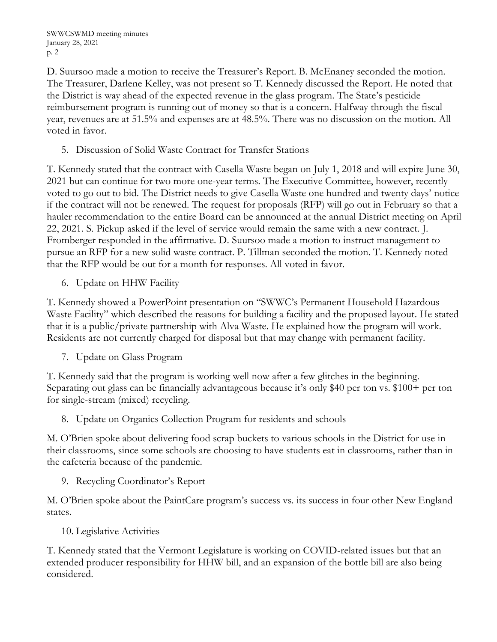D. Suursoo made a motion to receive the Treasurer's Report. B. McEnaney seconded the motion. The Treasurer, Darlene Kelley, was not present so T. Kennedy discussed the Report. He noted that the District is way ahead of the expected revenue in the glass program. The State's pesticide reimbursement program is running out of money so that is a concern. Halfway through the fiscal year, revenues are at 51.5% and expenses are at 48.5%. There was no discussion on the motion. All voted in favor.

5. Discussion of Solid Waste Contract for Transfer Stations

T. Kennedy stated that the contract with Casella Waste began on July 1, 2018 and will expire June 30, 2021 but can continue for two more one-year terms. The Executive Committee, however, recently voted to go out to bid. The District needs to give Casella Waste one hundred and twenty days' notice if the contract will not be renewed. The request for proposals (RFP) will go out in February so that a hauler recommendation to the entire Board can be announced at the annual District meeting on April 22, 2021. S. Pickup asked if the level of service would remain the same with a new contract. J. Fromberger responded in the affirmative. D. Suursoo made a motion to instruct management to pursue an RFP for a new solid waste contract. P. Tillman seconded the motion. T. Kennedy noted that the RFP would be out for a month for responses. All voted in favor.

6. Update on HHW Facility

T. Kennedy showed a PowerPoint presentation on "SWWC's Permanent Household Hazardous Waste Facility" which described the reasons for building a facility and the proposed layout. He stated that it is a public/private partnership with Alva Waste. He explained how the program will work. Residents are not currently charged for disposal but that may change with permanent facility.

7. Update on Glass Program

T. Kennedy said that the program is working well now after a few glitches in the beginning. Separating out glass can be financially advantageous because it's only \$40 per ton vs. \$100+ per ton for single-stream (mixed) recycling.

8. Update on Organics Collection Program for residents and schools

M. O'Brien spoke about delivering food scrap buckets to various schools in the District for use in their classrooms, since some schools are choosing to have students eat in classrooms, rather than in the cafeteria because of the pandemic.

9. Recycling Coordinator's Report

M. O'Brien spoke about the PaintCare program's success vs. its success in four other New England states.

10. Legislative Activities

T. Kennedy stated that the Vermont Legislature is working on COVID-related issues but that an extended producer responsibility for HHW bill, and an expansion of the bottle bill are also being considered.